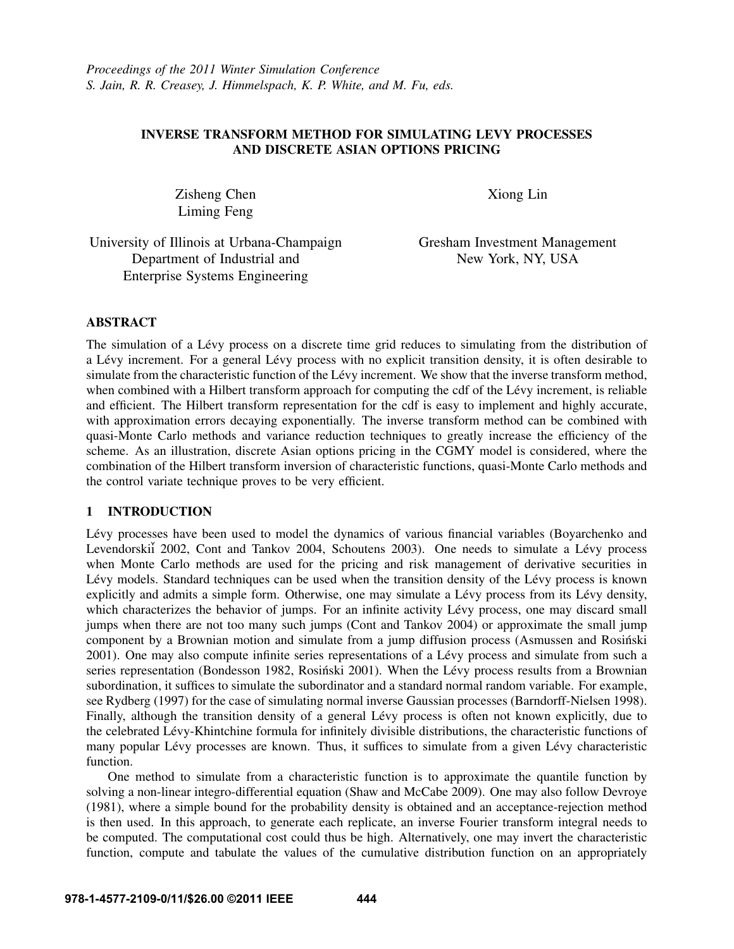# INVERSE TRANSFORM METHOD FOR SIMULATING LEVY PROCESSES AND DISCRETE ASIAN OPTIONS PRICING

Zisheng Chen Liming Feng

Xiong Lin

University of Illinois at Urbana-Champaign Department of Industrial and Enterprise Systems Engineering

Gresham Investment Management New York, NY, USA

## ABSTRACT

The simulation of a Lévy process on a discrete time grid reduces to simulating from the distribution of a Lévy increment. For a general Lévy process with no explicit transition density, it is often desirable to simulate from the characteristic function of the Lévy increment. We show that the inverse transform method, when combined with a Hilbert transform approach for computing the cdf of the Lévy increment, is reliable and efficient. The Hilbert transform representation for the cdf is easy to implement and highly accurate, with approximation errors decaying exponentially. The inverse transform method can be combined with quasi-Monte Carlo methods and variance reduction techniques to greatly increase the efficiency of the scheme. As an illustration, discrete Asian options pricing in the CGMY model is considered, where the combination of the Hilbert transform inversion of characteristic functions, quasi-Monte Carlo methods and the control variate technique proves to be very efficient.

## 1 INTRODUCTION

Lévy processes have been used to model the dynamics of various financial variables (Boyarchenko and Levendorskii 2002, Cont and Tankov 2004, Schoutens 2003). One needs to simulate a Lévy process when Monte Carlo methods are used for the pricing and risk management of derivative securities in Lévy models. Standard techniques can be used when the transition density of the Lévy process is known explicitly and admits a simple form. Otherwise, one may simulate a Lévy process from its Lévy density, which characterizes the behavior of jumps. For an infinite activity Lévy process, one may discard small jumps when there are not too many such jumps (Cont and Tankov 2004) or approximate the small jump component by a Brownian motion and simulate from a jump diffusion process (Asmussen and Rosinski ´ 2001). One may also compute infinite series representations of a Levy process and simulate from such a ´ series representation (Bondesson 1982, Rosiński 2001). When the Lévy process results from a Brownian subordination, it suffices to simulate the subordinator and a standard normal random variable. For example, see Rydberg (1997) for the case of simulating normal inverse Gaussian processes (Barndorff-Nielsen 1998). Finally, although the transition density of a general Lévy process is often not known explicitly, due to the celebrated Lévy-Khintchine formula for infinitely divisible distributions, the characteristic functions of many popular Lévy processes are known. Thus, it suffices to simulate from a given Lévy characteristic function.

One method to simulate from a characteristic function is to approximate the quantile function by solving a non-linear integro-differential equation (Shaw and McCabe 2009). One may also follow Devroye (1981), where a simple bound for the probability density is obtained and an acceptance-rejection method is then used. In this approach, to generate each replicate, an inverse Fourier transform integral needs to be computed. The computational cost could thus be high. Alternatively, one may invert the characteristic function, compute and tabulate the values of the cumulative distribution function on an appropriately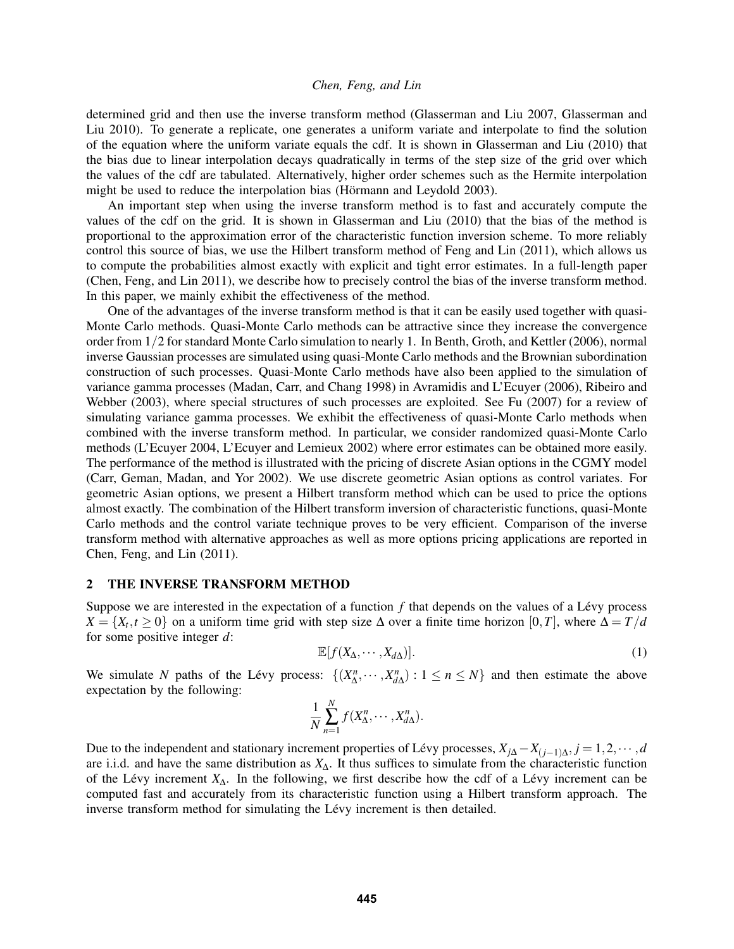determined grid and then use the inverse transform method (Glasserman and Liu 2007, Glasserman and Liu 2010). To generate a replicate, one generates a uniform variate and interpolate to find the solution of the equation where the uniform variate equals the cdf. It is shown in Glasserman and Liu (2010) that the bias due to linear interpolation decays quadratically in terms of the step size of the grid over which the values of the cdf are tabulated. Alternatively, higher order schemes such as the Hermite interpolation might be used to reduce the interpolation bias (Hörmann and Leydold 2003).

An important step when using the inverse transform method is to fast and accurately compute the values of the cdf on the grid. It is shown in Glasserman and Liu (2010) that the bias of the method is proportional to the approximation error of the characteristic function inversion scheme. To more reliably control this source of bias, we use the Hilbert transform method of Feng and Lin (2011), which allows us to compute the probabilities almost exactly with explicit and tight error estimates. In a full-length paper (Chen, Feng, and Lin 2011), we describe how to precisely control the bias of the inverse transform method. In this paper, we mainly exhibit the effectiveness of the method.

One of the advantages of the inverse transform method is that it can be easily used together with quasi-Monte Carlo methods. Quasi-Monte Carlo methods can be attractive since they increase the convergence order from 1/2 for standard Monte Carlo simulation to nearly 1. In Benth, Groth, and Kettler (2006), normal inverse Gaussian processes are simulated using quasi-Monte Carlo methods and the Brownian subordination construction of such processes. Quasi-Monte Carlo methods have also been applied to the simulation of variance gamma processes (Madan, Carr, and Chang 1998) in Avramidis and L'Ecuyer (2006), Ribeiro and Webber (2003), where special structures of such processes are exploited. See Fu (2007) for a review of simulating variance gamma processes. We exhibit the effectiveness of quasi-Monte Carlo methods when combined with the inverse transform method. In particular, we consider randomized quasi-Monte Carlo methods (L'Ecuyer 2004, L'Ecuyer and Lemieux 2002) where error estimates can be obtained more easily. The performance of the method is illustrated with the pricing of discrete Asian options in the CGMY model (Carr, Geman, Madan, and Yor 2002). We use discrete geometric Asian options as control variates. For geometric Asian options, we present a Hilbert transform method which can be used to price the options almost exactly. The combination of the Hilbert transform inversion of characteristic functions, quasi-Monte Carlo methods and the control variate technique proves to be very efficient. Comparison of the inverse transform method with alternative approaches as well as more options pricing applications are reported in Chen, Feng, and Lin (2011).

#### 2 THE INVERSE TRANSFORM METHOD

Suppose we are interested in the expectation of a function  $f$  that depends on the values of a Lévy process  $X = \{X_t, t \geq 0\}$  on a uniform time grid with step size  $\Delta$  over a finite time horizon  $[0, T]$ , where  $\Delta = T/d$ for some positive integer *d*:

$$
\mathbb{E}[f(X_{\Delta},\cdots,X_{d\Delta})].\tag{1}
$$

We simulate *N* paths of the Lévy process:  $\{(X_{\Delta}^n, \dots, X_{d\Delta}^n) : 1 \le n \le N\}$  and then estimate the above expectation by the following:

$$
\frac{1}{N}\sum_{n=1}^N f(X_\Delta^n,\cdots,X_{d\Delta}^n).
$$

Due to the independent and stationary increment properties of Lévy processes,  $X_{j\Delta} - X_{(j-1)\Delta}, j = 1, 2, \dots, d$ are i.i.d. and have the same distribution as *X*∆. It thus suffices to simulate from the characteristic function of the Lévy increment  $X_{\Delta}$ . In the following, we first describe how the cdf of a Lévy increment can be computed fast and accurately from its characteristic function using a Hilbert transform approach. The inverse transform method for simulating the Lévy increment is then detailed.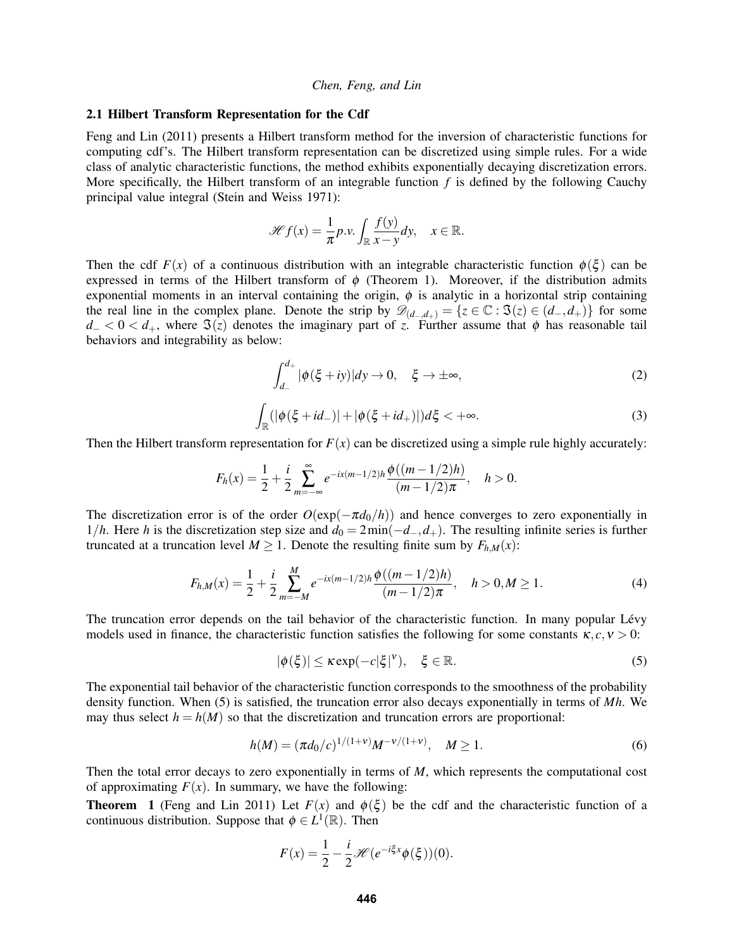#### 2.1 Hilbert Transform Representation for the Cdf

Feng and Lin (2011) presents a Hilbert transform method for the inversion of characteristic functions for computing cdf's. The Hilbert transform representation can be discretized using simple rules. For a wide class of analytic characteristic functions, the method exhibits exponentially decaying discretization errors. More specifically, the Hilbert transform of an integrable function *f* is defined by the following Cauchy principal value integral (Stein and Weiss 1971):

$$
\mathscr{H}f(x) = \frac{1}{\pi}p.v. \int_{\mathbb{R}} \frac{f(y)}{x - y} dy, \quad x \in \mathbb{R}.
$$

Then the cdf  $F(x)$  of a continuous distribution with an integrable characteristic function  $\phi(\xi)$  can be expressed in terms of the Hilbert transform of  $\phi$  (Theorem 1). Moreover, if the distribution admits exponential moments in an interval containing the origin,  $\phi$  is analytic in a horizontal strip containing the real line in the complex plane. Denote the strip by  $\mathscr{D}_{(d_-,d_+)} = \{z \in \mathbb{C} : \Im(z) \in (d_-,d_+) \}$  for some  $d_0$  < 0 <  $d_+$ , where  $\Im(z)$  denotes the imaginary part of *z*. Further assume that  $\phi$  has reasonable tail behaviors and integrability as below:

$$
\int_{d_{-}}^{d_{+}} |\phi(\xi + iy)| dy \to 0, \quad \xi \to \pm \infty,
$$
\n(2)

$$
\int_{\mathbb{R}} (|\phi(\xi + id_{-})| + |\phi(\xi + id_{+})|) d\xi < +\infty.
$$
\n(3)

Then the Hilbert transform representation for  $F(x)$  can be discretized using a simple rule highly accurately:

$$
F_h(x) = \frac{1}{2} + \frac{i}{2} \sum_{m=-\infty}^{\infty} e^{-ix(m-1/2)h} \frac{\phi((m-1/2)h)}{(m-1/2)\pi}, \quad h > 0.
$$

The discretization error is of the order  $O(\exp(-\pi d_0/h))$  and hence converges to zero exponentially in 1/*h*. Here *h* is the discretization step size and  $d_0 = 2 \min(-d_-, d_+)$ . The resulting infinite series is further truncated at a truncation level  $M \geq 1$ . Denote the resulting finite sum by  $F_{h,M}(x)$ :

$$
F_{h,M}(x) = \frac{1}{2} + \frac{i}{2} \sum_{m=-M}^{M} e^{-ix(m-1/2)h} \frac{\phi((m-1/2)h)}{(m-1/2)\pi}, \quad h > 0, M \ge 1. \tag{4}
$$

The truncation error depends on the tail behavior of the characteristic function. In many popular Lévy models used in finance, the characteristic function satisfies the following for some constants  $\kappa$ ,  $c$ ,  $v > 0$ :

$$
|\phi(\xi)| \le \kappa \exp(-c|\xi|^{\nu}), \quad \xi \in \mathbb{R}.\tag{5}
$$

The exponential tail behavior of the characteristic function corresponds to the smoothness of the probability density function. When (5) is satisfied, the truncation error also decays exponentially in terms of *Mh*. We may thus select  $h = h(M)$  so that the discretization and truncation errors are proportional:

$$
h(M) = (\pi d_0/c)^{1/(1+\nu)} M^{-\nu/(1+\nu)}, \quad M \ge 1.
$$
 (6)

Then the total error decays to zero exponentially in terms of *M*, which represents the computational cost of approximating  $F(x)$ . In summary, we have the following:

**Theorem 1** (Feng and Lin 2011) Let  $F(x)$  and  $\phi(\xi)$  be the cdf and the characteristic function of a continuous distribution. Suppose that  $\phi \in L^1(\mathbb{R})$ . Then

$$
F(x) = \frac{1}{2} - \frac{i}{2} \mathcal{H}(e^{-i\xi x} \phi(\xi))(0).
$$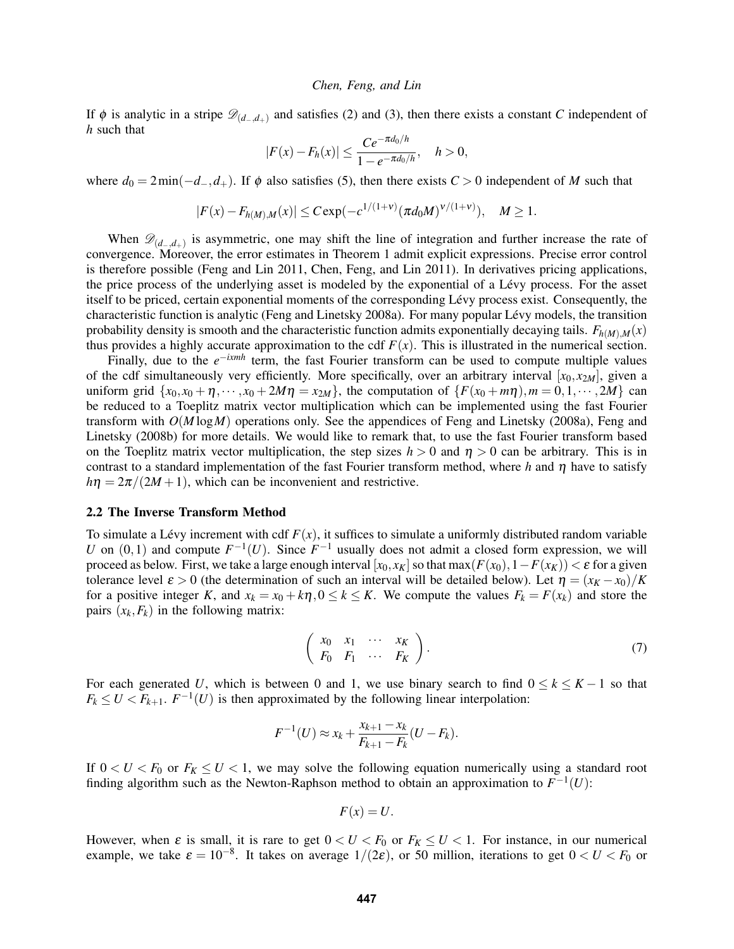If  $\phi$  is analytic in a stripe  $\mathscr{D}_{(d_-,d_+)}$  and satisfies (2) and (3), then there exists a constant *C* independent of *h* such that

$$
|F(x) - F_h(x)| \le \frac{Ce^{-\pi d_0/h}}{1 - e^{-\pi d_0/h}}, \quad h > 0,
$$

where  $d_0 = 2\min(-d_-, d_+)$ . If  $\phi$  also satisfies (5), then there exists  $C > 0$  independent of *M* such that

$$
|F(x) - F_{h(M),M}(x)| \leq C \exp(-c^{1/(1+\nu)} (\pi d_0 M)^{\nu/(1+\nu)}), \quad M \geq 1.
$$

When  $\mathscr{D}_{(d_-,d_+)}$  is asymmetric, one may shift the line of integration and further increase the rate of convergence. Moreover, the error estimates in Theorem 1 admit explicit expressions. Precise error control is therefore possible (Feng and Lin 2011, Chen, Feng, and Lin 2011). In derivatives pricing applications, the price process of the underlying asset is modeled by the exponential of a Lévy process. For the asset itself to be priced, certain exponential moments of the corresponding Lévy process exist. Consequently, the characteristic function is analytic (Feng and Linetsky 2008a). For many popular Levy models, the transition ´ probability density is smooth and the characteristic function admits exponentially decaying tails.  $F_{h(M),M}(x)$ thus provides a highly accurate approximation to the cdf  $F(x)$ . This is illustrated in the numerical section.

Finally, due to the *e* <sup>−</sup>*ixmh* term, the fast Fourier transform can be used to compute multiple values of the cdf simultaneously very efficiently. More specifically, over an arbitrary interval  $[x_0, x_{2M}]$ , given a uniform grid  $\{x_0, x_0 + \eta, \dots, x_0 + 2M\eta = x_{2M}\}\$ , the computation of  $\{F(x_0 + m\eta), m = 0, 1, \dots, 2M\}$  can be reduced to a Toeplitz matrix vector multiplication which can be implemented using the fast Fourier transform with *O*(*M* log*M*) operations only. See the appendices of Feng and Linetsky (2008a), Feng and Linetsky (2008b) for more details. We would like to remark that, to use the fast Fourier transform based on the Toeplitz matrix vector multiplication, the step sizes  $h > 0$  and  $\eta > 0$  can be arbitrary. This is in contrast to a standard implementation of the fast Fourier transform method, where *h* and  $\eta$  have to satisfy  $h\eta = 2\pi/(2M+1)$ , which can be inconvenient and restrictive.

#### 2.2 The Inverse Transform Method

To simulate a Lévy increment with cdf  $F(x)$ , it suffices to simulate a uniformly distributed random variable *U* on  $(0,1)$  and compute  $F^{-1}(U)$ . Since  $F^{-1}$  usually does not admit a closed form expression, we will proceed as below. First, we take a large enough interval  $[x_0, x_K]$  so that  $\max(F(x_0), 1 - F(x_K)) < \varepsilon$  for a given tolerance level  $\varepsilon > 0$  (the determination of such an interval will be detailed below). Let  $\eta = (x_K - x_0)/K$ for a positive integer *K*, and  $x_k = x_0 + k\eta$ ,  $0 \le k \le K$ . We compute the values  $F_k = F(x_k)$  and store the pairs  $(x_k, F_k)$  in the following matrix:

$$
\left(\begin{array}{cccc} x_0 & x_1 & \cdots & x_K \\ F_0 & F_1 & \cdots & F_K \end{array}\right). \tag{7}
$$

For each generated *U*, which is between 0 and 1, we use binary search to find  $0 \le k \le K - 1$  so that  $F_k \le U \lt F_{k+1}$ .  $F^{-1}(U)$  is then approximated by the following linear interpolation:

$$
F^{-1}(U) \approx x_k + \frac{x_{k+1} - x_k}{F_{k+1} - F_k}(U - F_k).
$$

If  $0 < U < F_0$  or  $F_K \le U < 1$ , we may solve the following equation numerically using a standard root finding algorithm such as the Newton-Raphson method to obtain an approximation to  $F^{-1}(U)$ :

$$
F(x)=U.
$$

However, when  $\varepsilon$  is small, it is rare to get  $0 < U < F_0$  or  $F_K \leq U < 1$ . For instance, in our numerical example, we take  $\varepsilon = 10^{-8}$ . It takes on average  $1/(2\varepsilon)$ , or 50 million, iterations to get  $0 < U < F_0$  or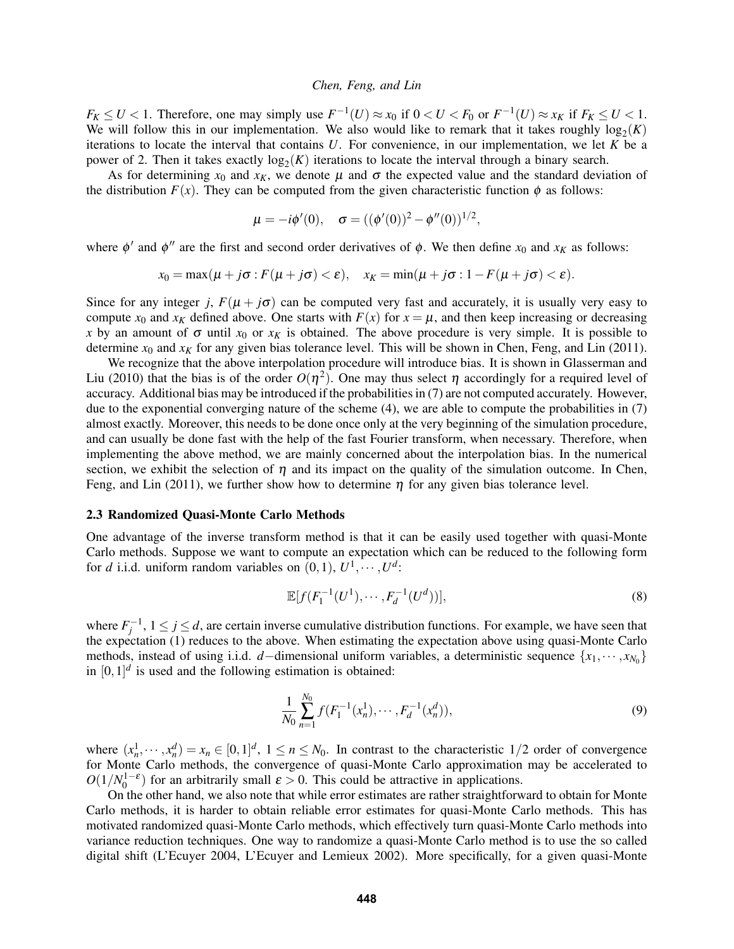$F_K \le U < 1$ . Therefore, one may simply use  $F^{-1}(U) \approx x_0$  if  $0 < U < F_0$  or  $F^{-1}(U) \approx x_K$  if  $F_K \le U < 1$ . We will follow this in our implementation. We also would like to remark that it takes roughly  $log_2(K)$ iterations to locate the interval that contains *U*. For convenience, in our implementation, we let *K* be a power of 2. Then it takes exactly  $log_2(K)$  iterations to locate the interval through a binary search.

As for determining  $x_0$  and  $x_K$ , we denote  $\mu$  and  $\sigma$  the expected value and the standard deviation of the distribution  $F(x)$ . They can be computed from the given characteristic function  $\phi$  as follows:

$$
\mu = -i\phi'(0), \quad \sigma = ((\phi'(0))^2 - \phi''(0))^{1/2},
$$

where  $\phi'$  and  $\phi''$  are the first and second order derivatives of  $\phi$ . We then define  $x_0$  and  $x_K$  as follows:

$$
x_0 = \max(\mu + j\sigma : F(\mu + j\sigma) < \varepsilon), \quad x_K = \min(\mu + j\sigma : 1 - F(\mu + j\sigma) < \varepsilon).
$$

Since for any integer *j*,  $F(\mu + j\sigma)$  can be computed very fast and accurately, it is usually very easy to compute  $x_0$  and  $x_K$  defined above. One starts with  $F(x)$  for  $x = \mu$ , and then keep increasing or decreasing *x* by an amount of  $\sigma$  until  $x_0$  or  $x_k$  is obtained. The above procedure is very simple. It is possible to determine  $x_0$  and  $x_K$  for any given bias tolerance level. This will be shown in Chen, Feng, and Lin (2011).

We recognize that the above interpolation procedure will introduce bias. It is shown in Glasserman and Liu (2010) that the bias is of the order  $O(\eta^2)$ . One may thus select  $\eta$  accordingly for a required level of accuracy. Additional bias may be introduced if the probabilities in (7) are not computed accurately. However, due to the exponential converging nature of the scheme (4), we are able to compute the probabilities in (7) almost exactly. Moreover, this needs to be done once only at the very beginning of the simulation procedure, and can usually be done fast with the help of the fast Fourier transform, when necessary. Therefore, when implementing the above method, we are mainly concerned about the interpolation bias. In the numerical section, we exhibit the selection of  $\eta$  and its impact on the quality of the simulation outcome. In Chen, Feng, and Lin (2011), we further show how to determine  $\eta$  for any given bias tolerance level.

## 2.3 Randomized Quasi-Monte Carlo Methods

One advantage of the inverse transform method is that it can be easily used together with quasi-Monte Carlo methods. Suppose we want to compute an expectation which can be reduced to the following form for *d* i.i.d. uniform random variables on  $(0,1)$ ,  $U^1, \dots, U^d$ :

$$
\mathbb{E}[f(F_1^{-1}(U^1),\cdots,F_d^{-1}(U^d))],\tag{8}
$$

where  $F_j^{-1}$ ,  $1 \le j \le d$ , are certain inverse cumulative distribution functions. For example, we have seen that the expectation (1) reduces to the above. When estimating the expectation above using quasi-Monte Carlo methods, instead of using i.i.d. *d*−dimensional uniform variables, a deterministic sequence {*x*1,··· , *xN*<sup>0</sup> } in  $[0,1]^d$  is used and the following estimation is obtained:

$$
\frac{1}{N_0} \sum_{n=1}^{N_0} f(F_1^{-1}(x_n^1), \cdots, F_d^{-1}(x_n^d)),\tag{9}
$$

where  $(x_n^1, \dots, x_n^d) = x_n \in [0,1]^d$ ,  $1 \le n \le N_0$ . In contrast to the characteristic  $1/2$  order of convergence for Monte Carlo methods, the convergence of quasi-Monte Carlo approximation may be accelerated to  $O(1/N_0^{1-\epsilon})$  for an arbitrarily small  $\epsilon > 0$ . This could be attractive in applications.

On the other hand, we also note that while error estimates are rather straightforward to obtain for Monte Carlo methods, it is harder to obtain reliable error estimates for quasi-Monte Carlo methods. This has motivated randomized quasi-Monte Carlo methods, which effectively turn quasi-Monte Carlo methods into variance reduction techniques. One way to randomize a quasi-Monte Carlo method is to use the so called digital shift (L'Ecuyer 2004, L'Ecuyer and Lemieux 2002). More specifically, for a given quasi-Monte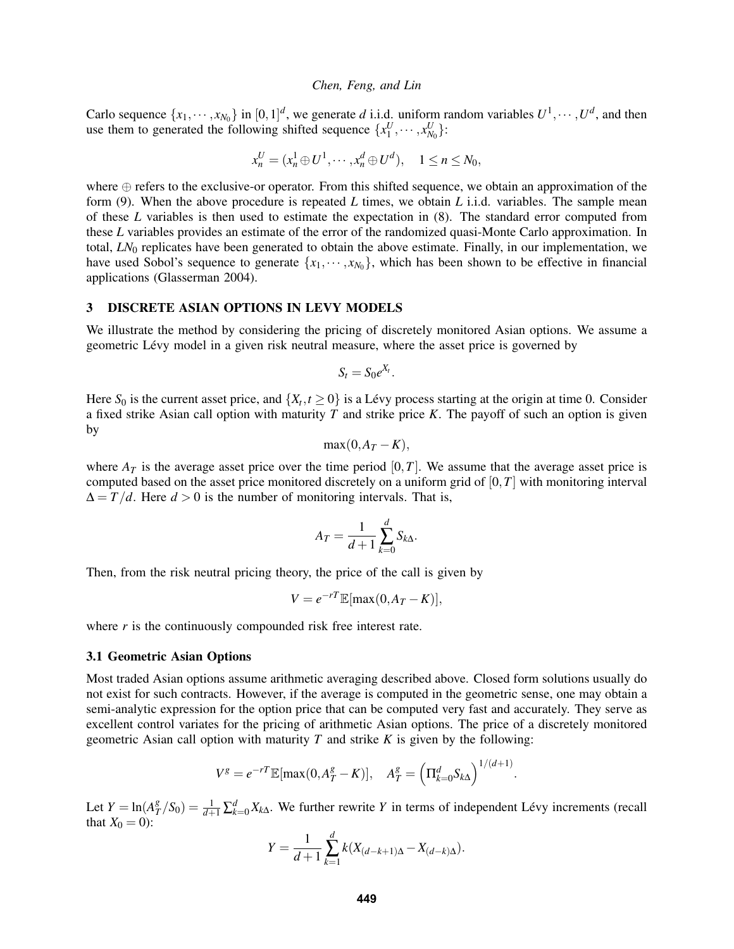Carlo sequence  $\{x_1, \dots, x_{N_0}\}$  in  $[0, 1]^d$ , we generate *d* i.i.d. uniform random variables  $U^1, \dots, U^d$ , and then use them to generated the following shifted sequence  $\{x_1^U, \dots, x_{N_0}^U\}$ :

$$
x_n^U = (x_n^1 \oplus U^1, \cdots, x_n^d \oplus U^d), \quad 1 \le n \le N_0,
$$

where ⊕ refers to the exclusive-or operator. From this shifted sequence, we obtain an approximation of the form (9). When the above procedure is repeated *L* times, we obtain *L* i.i.d. variables. The sample mean of these *L* variables is then used to estimate the expectation in (8). The standard error computed from these *L* variables provides an estimate of the error of the randomized quasi-Monte Carlo approximation. In total, *LN*<sup>0</sup> replicates have been generated to obtain the above estimate. Finally, in our implementation, we have used Sobol's sequence to generate  $\{x_1, \dots, x_{N_0}\}$ , which has been shown to be effective in financial applications (Glasserman 2004).

#### 3 DISCRETE ASIAN OPTIONS IN LEVY MODELS

We illustrate the method by considering the pricing of discretely monitored Asian options. We assume a geometric Levy model in a given risk neutral measure, where the asset price is governed by ´

$$
S_t = S_0 e^{X_t}.
$$

Here  $S_0$  is the current asset price, and  $\{X_t, t \ge 0\}$  is a Lévy process starting at the origin at time 0. Consider a fixed strike Asian call option with maturity *T* and strike price *K*. The payoff of such an option is given by

$$
\max(0, A_T - K),
$$

where  $A_T$  is the average asset price over the time period [0,*T*]. We assume that the average asset price is computed based on the asset price monitored discretely on a uniform grid of [0,*T*] with monitoring interval  $\Delta = T/d$ . Here  $d > 0$  is the number of monitoring intervals. That is,

$$
A_T = \frac{1}{d+1} \sum_{k=0}^d S_{k\Delta}.
$$

Then, from the risk neutral pricing theory, the price of the call is given by

$$
V = e^{-rT} \mathbb{E}[\max(0, A_T - K)],
$$

where *r* is the continuously compounded risk free interest rate.

#### 3.1 Geometric Asian Options

Most traded Asian options assume arithmetic averaging described above. Closed form solutions usually do not exist for such contracts. However, if the average is computed in the geometric sense, one may obtain a semi-analytic expression for the option price that can be computed very fast and accurately. They serve as excellent control variates for the pricing of arithmetic Asian options. The price of a discretely monitored geometric Asian call option with maturity *T* and strike *K* is given by the following:

$$
V^g = e^{-rT} \mathbb{E}[\max(0, A_T^g - K)], \quad A_T^g = \left(\Pi_{k=0}^d S_{k\Delta}\right)^{1/(d+1)}.
$$

Let  $Y = \ln(A_7^g)$  $T^g_T/S_0$ ) =  $\frac{1}{d+1} \sum_{k=0}^d X_{k\Delta}$ . We further rewrite *Y* in terms of independent Lévy increments (recall that  $X_0 = 0$ :

$$
Y = \frac{1}{d+1} \sum_{k=1}^{d} k(X_{(d-k+1)\Delta} - X_{(d-k)\Delta}).
$$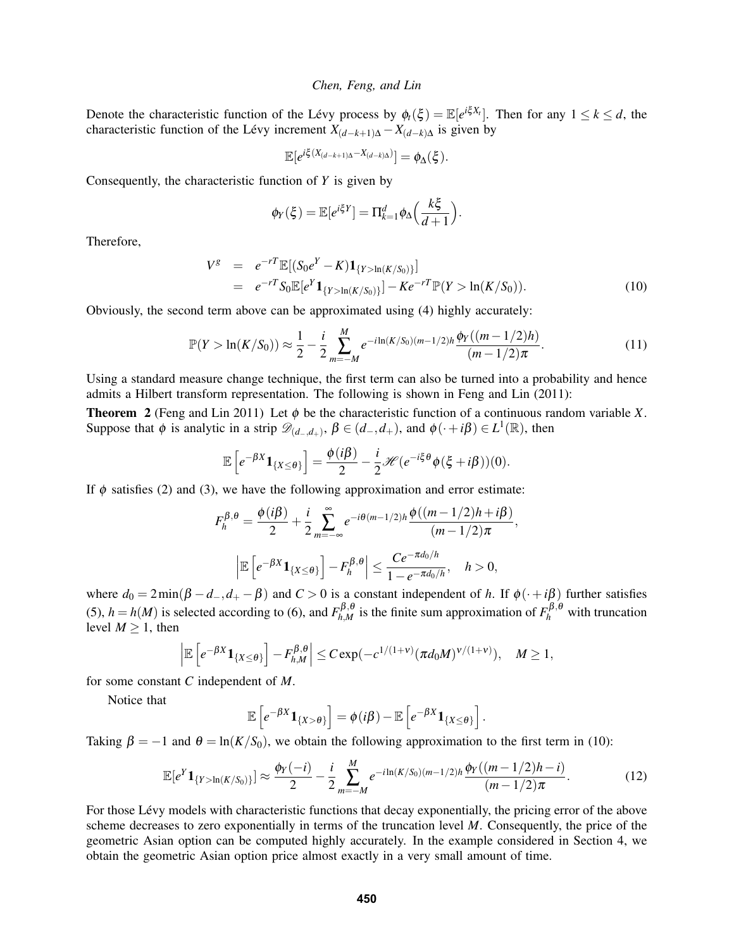Denote the characteristic function of the Lévy process by  $\phi_t(\xi) = \mathbb{E}[e^{i\xi X_t}]$ . Then for any  $1 \leq k \leq d$ , the characteristic function of the Lévy increment  $X_{(d-k+1)\Delta} - X_{(d-k)\Delta}$  is given by

$$
\mathbb{E}[e^{i\xi(X_{(d-k+1)\Delta}-X_{(d-k)\Delta})}]=\phi_{\Delta}(\xi).
$$

Consequently, the characteristic function of *Y* is given by

$$
\phi_Y(\xi) = \mathbb{E}[e^{i\xi Y}] = \Pi_{k=1}^d \phi_\Delta \Big(\frac{k\xi}{d+1}\Big).
$$

Therefore,

$$
V^g = e^{-rT} \mathbb{E}[(S_0 e^Y - K) \mathbf{1}_{\{Y > \ln(K/S_0)\}}]
$$
  
=  $e^{-rT} S_0 \mathbb{E}[e^Y \mathbf{1}_{\{Y > \ln(K/S_0)\}}] - Ke^{-rT} \mathbb{P}(Y > \ln(K/S_0)).$  (10)

Obviously, the second term above can be approximated using (4) highly accurately:

$$
\mathbb{P}(Y > \ln(K/S_0)) \approx \frac{1}{2} - \frac{i}{2} \sum_{m=-M}^{M} e^{-i\ln(K/S_0)(m-1/2)h} \frac{\phi_Y((m-1/2)h)}{(m-1/2)\pi}.
$$
\n(11)

Using a standard measure change technique, the first term can also be turned into a probability and hence admits a Hilbert transform representation. The following is shown in Feng and Lin (2011):

**Theorem 2** (Feng and Lin 2011) Let  $\phi$  be the characteristic function of a continuous random variable *X*. Suppose that  $\phi$  is analytic in a strip  $\mathscr{D}_{(d_-,d_+)}, \beta \in (d_-,d_+)$ , and  $\phi(\cdot+i\beta) \in L^1(\mathbb{R})$ , then

$$
\mathbb{E}\left[e^{-\beta X}\mathbf{1}_{\{X\leq\theta\}}\right]=\frac{\phi(i\beta)}{2}-\frac{i}{2} \mathscr{H}(e^{-i\xi\theta}\phi(\xi+i\beta))(0).
$$

If  $\phi$  satisfies (2) and (3), we have the following approximation and error estimate:

$$
F_h^{\beta,\theta} = \frac{\phi(i\beta)}{2} + \frac{i}{2} \sum_{m=-\infty}^{\infty} e^{-i\theta(m-1/2)h} \frac{\phi((m-1/2)h + i\beta)}{(m-1/2)\pi},
$$

$$
\left| \mathbb{E} \left[ e^{-\beta X} \mathbf{1}_{\{X \le \theta\}} \right] - F_h^{\beta,\theta} \right| \le \frac{Ce^{-\pi d_0/h}}{1 - e^{-\pi d_0/h}}, \quad h > 0,
$$

where  $d_0 = 2 \min(\beta - d_-, d_+ - \beta)$  and  $C > 0$  is a constant independent of *h*. If  $\phi(\cdot + i\beta)$  further satisfies (5),  $h = h(M)$  is selected according to (6), and  $F_{hM}^{\beta,\theta}$  $h_{h,M}^{\beta,\theta}$  is the finite sum approximation of  $F_h^{\beta,\theta}$  with truncation level  $M > 1$ , then

$$
\left|\mathbb{E}\left[e^{-\beta X}\mathbf{1}_{\{X\leq\theta\}}\right]-F_{h,M}^{\beta,\theta}\right|\leq C\exp(-c^{1/(1+\nu)}(\pi d_0M)^{\nu/(1+\nu)}),\quad M\geq 1,
$$

for some constant *C* independent of *M*.

Notice that

$$
\mathbb{E}\left[e^{-\beta X}\mathbf{1}_{\{X>\theta\}}\right]=\phi(i\beta)-\mathbb{E}\left[e^{-\beta X}\mathbf{1}_{\{X\leq\theta\}}\right].
$$

Taking  $\beta = -1$  and  $\theta = \ln(K/S_0)$ , we obtain the following approximation to the first term in (10):

$$
\mathbb{E}[e^Y \mathbf{1}_{\{Y > \ln(K/S_0)\}}] \approx \frac{\phi_Y(-i)}{2} - \frac{i}{2} \sum_{m=-M}^{M} e^{-i\ln(K/S_0)(m-1/2)h} \frac{\phi_Y((m-1/2)h-i)}{(m-1/2)\pi}.
$$
 (12)

For those Lévy models with characteristic functions that decay exponentially, the pricing error of the above scheme decreases to zero exponentially in terms of the truncation level *M*. Consequently, the price of the geometric Asian option can be computed highly accurately. In the example considered in Section 4, we obtain the geometric Asian option price almost exactly in a very small amount of time.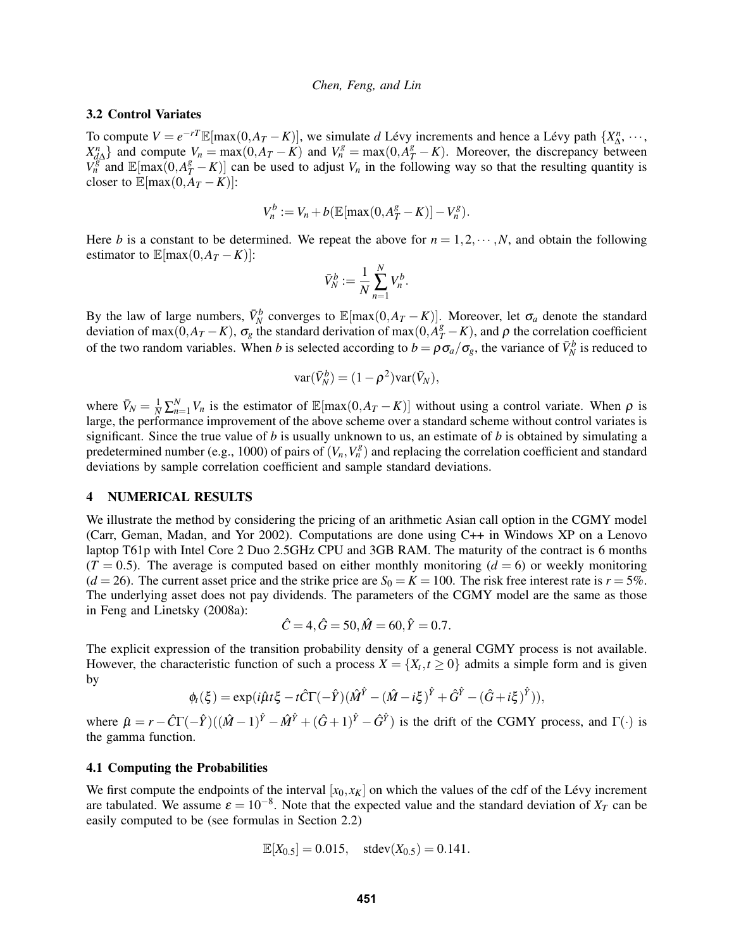### 3.2 Control Variates

To compute  $V = e^{-rT} \mathbb{E}[\max(0, A_T - K)]$ , we simulate *d* Lévy increments and hence a Lévy path  $\{X_{\Delta}^n, \dots, \}$  $X_{d\Delta}^n$  and compute  $V_n = \max(0, A_T - K)$  and  $V_n^g = \max(0, A_T^g - K)$ . Moreover, the discrepancy between  $V_n^g$  and  $\mathbb{E}[\max(0, A_T^g - K)]$  can be used to adjust  $V_n$  in the following way so that the resulting quantity is closer to  $\mathbb{E}[\max(0, A_T - K)]$ :

$$
V_n^b := V_n + b\left(\mathbb{E}[\max(0, A_T^g - K)] - V_n^g\right).
$$

Here *b* is a constant to be determined. We repeat the above for  $n = 1, 2, \dots, N$ , and obtain the following estimator to  $\mathbb{E}[\max(0, A_T - K)]$ :

$$
\bar{V}_N^b := \frac{1}{N} \sum_{n=1}^N V_n^b.
$$

By the law of large numbers,  $\bar{V}_N^b$  converges to  $\mathbb{E}[\max(0, A_T - K)]$ . Moreover, let  $\sigma_a$  denote the standard deviation of max( $\overline{0}, A_T - K$ ),  $\sigma_g$  the standard derivation of max( $\overline{0}, A_T^g - K$ ), and  $\rho$  the correlation coefficient of the two random variables. When *b* is selected according to  $b = \rho \sigma_a / \sigma_g$ , the variance of  $\bar{V}_N^b$  is reduced to

$$
var(\bar{V}_N^b) = (1 - \rho^2)var(\bar{V}_N),
$$

where  $\bar{V}_N = \frac{1}{N} \sum_{n=1}^N V_n$  is the estimator of  $\mathbb{E}[\max(0, A_T - K)]$  without using a control variate. When  $\rho$  is large, the performance improvement of the above scheme over a standard scheme without control variates is significant. Since the true value of *b* is usually unknown to us, an estimate of *b* is obtained by simulating a predetermined number (e.g., 1000) of pairs of  $(V_n, V_n^g)$  and replacing the correlation coefficient and standard deviations by sample correlation coefficient and sample standard deviations.

#### 4 NUMERICAL RESULTS

We illustrate the method by considering the pricing of an arithmetic Asian call option in the CGMY model (Carr, Geman, Madan, and Yor 2002). Computations are done using C++ in Windows XP on a Lenovo laptop T61p with Intel Core 2 Duo 2.5GHz CPU and 3GB RAM. The maturity of the contract is 6 months  $(T = 0.5)$ . The average is computed based on either monthly monitoring  $(d = 6)$  or weekly monitoring ( $d = 26$ ). The current asset price and the strike price are  $S_0 = K = 100$ . The risk free interest rate is  $r = 5\%$ . The underlying asset does not pay dividends. The parameters of the CGMY model are the same as those in Feng and Linetsky (2008a):

$$
\hat{C} = 4, \hat{G} = 50, \hat{M} = 60, \hat{Y} = 0.7.
$$

The explicit expression of the transition probability density of a general CGMY process is not available. However, the characteristic function of such a process  $X = \{X_t, t \ge 0\}$  admits a simple form and is given by

$$
\phi_t(\xi) = \exp(i\hat{\mu}t\xi - t\hat{C}\Gamma(-\hat{Y})(\hat{M}^{\hat{Y}} - (\hat{M} - i\xi)^{\hat{Y}} + \hat{G}^{\hat{Y}} - (\hat{G} + i\xi)^{\hat{Y}})),
$$

where  $\hat{\mu} = r - \hat{C}\Gamma(-\hat{Y})((\hat{M}-1)^{\hat{Y}} - \hat{M}^{\hat{Y}} + (\hat{G}+1)^{\hat{Y}} - \hat{G}^{\hat{Y}})$  is the drift of the CGMY process, and  $\Gamma(\cdot)$  is the gamma function.

#### 4.1 Computing the Probabilities

We first compute the endpoints of the interval  $[x_0, x_K]$  on which the values of the cdf of the Lévy increment are tabulated. We assume  $\varepsilon = 10^{-8}$ . Note that the expected value and the standard deviation of  $X_T$  can be easily computed to be (see formulas in Section 2.2)

$$
\mathbb{E}[X_{0.5}] = 0.015, \quad \text{stdev}(X_{0.5}) = 0.141.
$$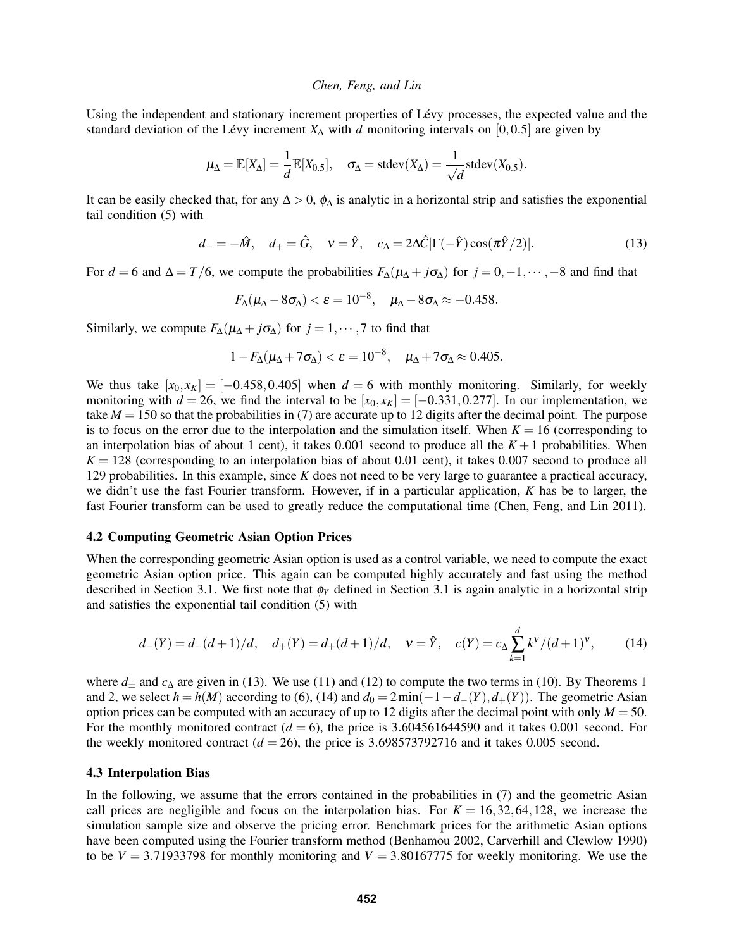Using the independent and stationary increment properties of Lévy processes, the expected value and the standard deviation of the Lévy increment  $X_{\Delta}$  with *d* monitoring intervals on [0,0.5] are given by

$$
\mu_{\Delta} = \mathbb{E}[X_{\Delta}] = \frac{1}{d} \mathbb{E}[X_{0.5}], \quad \sigma_{\Delta} = \text{stdev}(X_{\Delta}) = \frac{1}{\sqrt{d}} \text{stdev}(X_{0.5}).
$$

It can be easily checked that, for any  $\Delta > 0$ ,  $\phi_{\Delta}$  is analytic in a horizontal strip and satisfies the exponential tail condition (5) with

$$
d_- = -\hat{M}, \quad d_+ = \hat{G}, \quad v = \hat{Y}, \quad c_\Delta = 2\Delta \hat{C} |\Gamma(-\hat{Y}) \cos(\pi \hat{Y}/2)|. \tag{13}
$$

For  $d = 6$  and  $\Delta = T/6$ , we compute the probabilities  $F_{\Delta}(\mu_{\Delta} + j\sigma_{\Delta})$  for  $j = 0, -1, \dots, -8$  and find that

$$
F_{\Delta}(\mu_{\Delta} - 8\sigma_{\Delta}) < \varepsilon = 10^{-8}, \quad \mu_{\Delta} - 8\sigma_{\Delta} \approx -0.458.
$$

Similarly, we compute  $F_{\Delta}(\mu_{\Delta} + j\sigma_{\Delta})$  for  $j = 1, \dots, 7$  to find that

$$
1 - F_{\Delta}(\mu_{\Delta} + 7\sigma_{\Delta}) < \varepsilon = 10^{-8}, \quad \mu_{\Delta} + 7\sigma_{\Delta} \approx 0.405.
$$

We thus take  $[x_0, x_K] = [-0.458, 0.405]$  when  $d = 6$  with monthly monitoring. Similarly, for weekly monitoring with  $d = 26$ , we find the interval to be  $[x_0, x_K] = [-0.331, 0.277]$ . In our implementation, we take  $M = 150$  so that the probabilities in (7) are accurate up to 12 digits after the decimal point. The purpose is to focus on the error due to the interpolation and the simulation itself. When  $K = 16$  (corresponding to an interpolation bias of about 1 cent), it takes 0.001 second to produce all the  $K+1$  probabilities. When  $K = 128$  (corresponding to an interpolation bias of about 0.01 cent), it takes 0.007 second to produce all 129 probabilities. In this example, since *K* does not need to be very large to guarantee a practical accuracy, we didn't use the fast Fourier transform. However, if in a particular application, *K* has be to larger, the fast Fourier transform can be used to greatly reduce the computational time (Chen, Feng, and Lin 2011).

#### 4.2 Computing Geometric Asian Option Prices

When the corresponding geometric Asian option is used as a control variable, we need to compute the exact geometric Asian option price. This again can be computed highly accurately and fast using the method described in Section 3.1. We first note that φ*<sup>Y</sup>* defined in Section 3.1 is again analytic in a horizontal strip and satisfies the exponential tail condition (5) with

$$
d_{-}(Y) = d_{-}(d+1)/d, \quad d_{+}(Y) = d_{+}(d+1)/d, \quad \nu = \hat{Y}, \quad c(Y) = c_{\Delta} \sum_{k=1}^{d} k^{\nu}/(d+1)^{\nu}, \tag{14}
$$

where  $d_{\pm}$  and  $c_{\Delta}$  are given in (13). We use (11) and (12) to compute the two terms in (10). By Theorems 1 and 2, we select  $h = h(M)$  according to (6), (14) and  $d_0 = 2 \min(-1 - d_-(Y), d_+(Y))$ . The geometric Asian option prices can be computed with an accuracy of up to 12 digits after the decimal point with only  $M = 50$ . For the monthly monitored contract  $(d = 6)$ , the price is 3.604561644590 and it takes 0.001 second. For the weekly monitored contract  $(d = 26)$ , the price is 3.698573792716 and it takes 0.005 second.

#### 4.3 Interpolation Bias

In the following, we assume that the errors contained in the probabilities in (7) and the geometric Asian call prices are negligible and focus on the interpolation bias. For  $K = 16,32,64,128$ , we increase the simulation sample size and observe the pricing error. Benchmark prices for the arithmetic Asian options have been computed using the Fourier transform method (Benhamou 2002, Carverhill and Clewlow 1990) to be  $V = 3.71933798$  for monthly monitoring and  $V = 3.80167775$  for weekly monitoring. We use the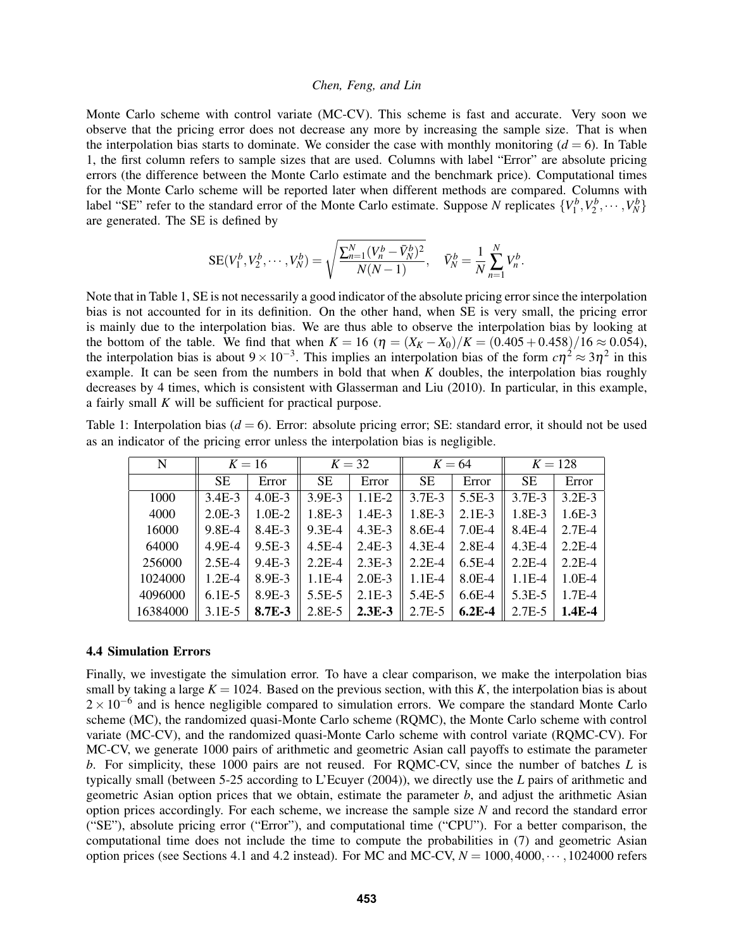Monte Carlo scheme with control variate (MC-CV). This scheme is fast and accurate. Very soon we observe that the pricing error does not decrease any more by increasing the sample size. That is when the interpolation bias starts to dominate. We consider the case with monthly monitoring  $(d = 6)$ . In Table 1, the first column refers to sample sizes that are used. Columns with label "Error" are absolute pricing errors (the difference between the Monte Carlo estimate and the benchmark price). Computational times for the Monte Carlo scheme will be reported later when different methods are compared. Columns with label "SE" refer to the standard error of the Monte Carlo estimate. Suppose *N* replicates  $\{V_1^b, V_2^b, \dots, V_N^b\}$ are generated. The SE is defined by

$$
SE(V_1^b, V_2^b, \cdots, V_N^b) = \sqrt{\frac{\sum_{n=1}^N (V_n^b - \bar{V}_N^b)^2}{N(N-1)}}, \quad \bar{V}_N^b = \frac{1}{N} \sum_{n=1}^N V_n^b.
$$

Note that in Table 1, SE is not necessarily a good indicator of the absolute pricing error since the interpolation bias is not accounted for in its definition. On the other hand, when SE is very small, the pricing error is mainly due to the interpolation bias. We are thus able to observe the interpolation bias by looking at the bottom of the table. We find that when  $K = 16$  ( $\eta = (X_K - X_0)/K = (0.405 + 0.458)/16 \approx 0.054$ ), the interpolation bias is about  $9 \times 10^{-3}$ . This implies an interpolation bias of the form  $c\eta^2 \approx 3\eta^2$  in this example. It can be seen from the numbers in bold that when  $K$  doubles, the interpolation bias roughly decreases by 4 times, which is consistent with Glasserman and Liu (2010). In particular, in this example, a fairly small *K* will be sufficient for practical purpose.

| Table 1: Interpolation bias ( $d = 6$ ). Error: absolute pricing error; SE: standard error, it should not be used |  |  |  |
|-------------------------------------------------------------------------------------------------------------------|--|--|--|
| as an indicator of the pricing error unless the interpolation bias is negligible.                                 |  |  |  |

| N        | $K=16$    |          |            | $K=32$   |            | $K=64$   |            | $K = 128$  |  |
|----------|-----------|----------|------------|----------|------------|----------|------------|------------|--|
|          | <b>SE</b> | Error    | <b>SE</b>  | Error    | <b>SE</b>  | Error    | <b>SE</b>  | Error      |  |
| 1000     | $3.4E-3$  | $4.0E-3$ | 3.9E-3     | $1.1E-2$ | 3.7E-3     | 5.5E-3   | $3.7E - 3$ | $3.2E - 3$ |  |
| 4000     | $2.0E-3$  | $1.0E-2$ | 1.8E-3     | $1.4E-3$ | 1.8E-3     | $2.1E-3$ | 1.8E-3     | $1.6E-3$   |  |
| 16000    | 9.8E-4    | $8.4E-3$ | 9.3E-4     | $4.3E-3$ | 8.6E-4     | 7.0E-4   | 8.4E-4     | $2.7E-4$   |  |
| 64000    | $4.9E-4$  | $9.5E-3$ | $4.5E-4$   | $2.4E-3$ | $4.3E - 4$ | $2.8E-4$ | $4.3E-4$   | $2.2E-4$   |  |
| 256000   | $2.5E-4$  | $9.4E-3$ | $2.2E-4$   | $2.3E-3$ | $2.2E-4$   | $6.5E-4$ | $2.2E-4$   | $2.2E-4$   |  |
| 1024000  | $1.2E-4$  | 8.9E-3   | $1.1E-4$   | $2.0E-3$ | $1.1E-4$   | 8.0E-4   | $1.1E-4$   | $1.0E-4$   |  |
| 4096000  | $6.1E-5$  | 8.9E-3   | $5.5E-5$   | $2.1E-3$ | 5.4E-5     | $6.6E-4$ | $5.3E-5$   | $1.7E-4$   |  |
| 16384000 | $3.1E-5$  | 8.7E-3   | $2.8E - 5$ | $2.3E-3$ | $2.7E-5$   | $6.2E-4$ | $2.7E - 5$ | $1.4E-4$   |  |

### 4.4 Simulation Errors

Finally, we investigate the simulation error. To have a clear comparison, we make the interpolation bias small by taking a large  $K = 1024$ . Based on the previous section, with this *K*, the interpolation bias is about  $2 \times 10^{-6}$  and is hence negligible compared to simulation errors. We compare the standard Monte Carlo scheme (MC), the randomized quasi-Monte Carlo scheme (RQMC), the Monte Carlo scheme with control variate (MC-CV), and the randomized quasi-Monte Carlo scheme with control variate (RQMC-CV). For MC-CV, we generate 1000 pairs of arithmetic and geometric Asian call payoffs to estimate the parameter *b*. For simplicity, these 1000 pairs are not reused. For RQMC-CV, since the number of batches *L* is typically small (between 5-25 according to L'Ecuyer (2004)), we directly use the *L* pairs of arithmetic and geometric Asian option prices that we obtain, estimate the parameter *b*, and adjust the arithmetic Asian option prices accordingly. For each scheme, we increase the sample size *N* and record the standard error ("SE"), absolute pricing error ("Error"), and computational time ("CPU"). For a better comparison, the computational time does not include the time to compute the probabilities in (7) and geometric Asian option prices (see Sections 4.1 and 4.2 instead). For MC and MC-CV,  $N = 1000,4000, \cdots, 1024000$  refers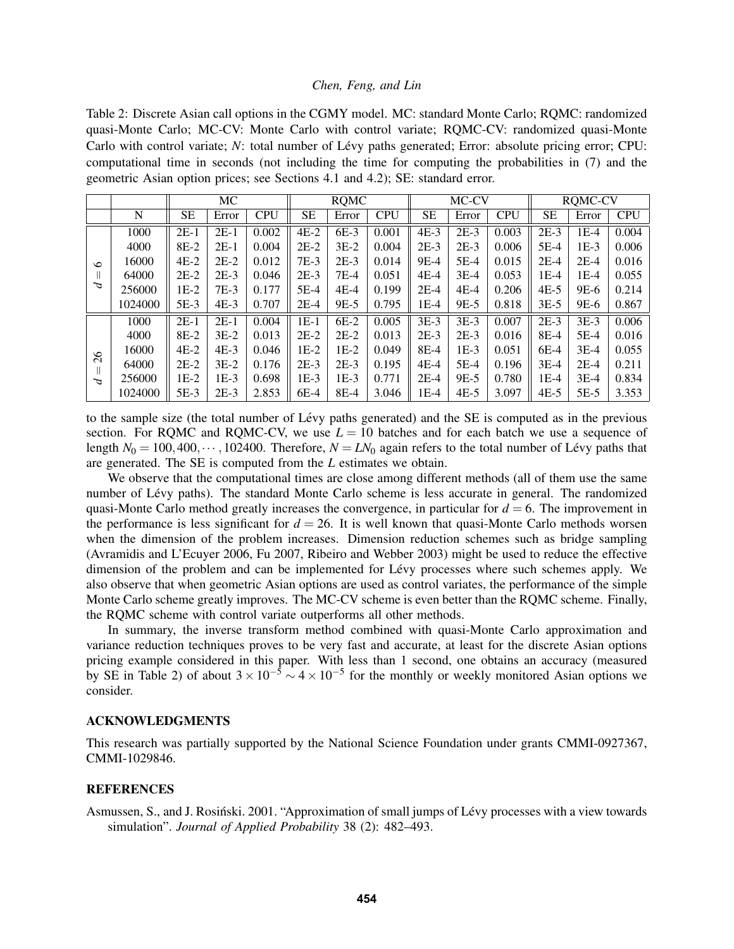Table 2: Discrete Asian call options in the CGMY model. MC: standard Monte Carlo; RQMC: randomized quasi-Monte Carlo; MC-CV: Monte Carlo with control variate; RQMC-CV: randomized quasi-Monte Carlo with control variate; *N*: total number of Lévy paths generated; Error: absolute pricing error; CPU: computational time in seconds (not including the time for computing the probabilities in (7) and the geometric Asian option prices; see Sections 4.1 and 4.2); SE: standard error.

|               |         | MC        |        |            | <b>RQMC</b> |        |            | MC-CV     |        |            | <b>RQMC-CV</b> |        |            |
|---------------|---------|-----------|--------|------------|-------------|--------|------------|-----------|--------|------------|----------------|--------|------------|
|               | N       | <b>SE</b> | Error  | <b>CPU</b> | SE          | Error  | <b>CPU</b> | <b>SE</b> | Error  | <b>CPU</b> | <b>SE</b>      | Error  | <b>CPU</b> |
| $\circ$<br>P  | 1000    | $2E-1$    | $2E-1$ | 0.002      | $4E-2$      | $6E-3$ | 0.001      | $4E-3$    | $2E-3$ | 0.003      | $2E-3$         | $1E-4$ | 0.004      |
|               | 4000    | $8E-2$    | $2E-1$ | 0.004      | $2E-2$      | $3E-2$ | 0.004      | $2E-3$    | $2E-3$ | 0.006      | $5E-4$         | $1E-3$ | 0.006      |
|               | 16000   | $4E-2$    | $2E-2$ | 0.012      | $7E-3$      | $2E-3$ | 0.014      | 9E-4      | $5E-4$ | 0.015      | $2E-4$         | $2E-4$ | 0.016      |
|               | 64000   | $2E-2$    | $2E-3$ | 0.046      | $2E-3$      | $7E-4$ | 0.051      | $4E-4$    | $3E-4$ | 0.053      | $1E-4$         | $1E-4$ | 0.055      |
|               | 256000  | $1E-2$    | $7E-3$ | 0.177      | $5E-4$      | $4E-4$ | 0.199      | $2E-4$    | $4E-4$ | 0.206      | $4E-5$         | 9E-6   | 0.214      |
|               | 1024000 | $5E-3$    | $4E-3$ | 0.707      | $2E-4$      | 9E-5   | 0.795      | 1E-4      | 9E-5   | 0.818      | $3E-5$         | 9E-6   | 0.867      |
| $\delta$<br>Δ | 1000    | $2E-1$    | $2E-1$ | 0.004      | $1E-1$      | $6E-2$ | 0.005      | $3E-3$    | $3E-3$ | 0.007      | $2E-3$         | $3E-3$ | 0.006      |
|               | 4000    | $8E-2$    | $3E-2$ | 0.013      | $2E-2$      | $2E-2$ | 0.013      | $2E-3$    | $2E-3$ | 0.016      | $8E-4$         | $5E-4$ | 0.016      |
|               | 16000   | $4E-2$    | $4E-3$ | 0.046      | $1E-2$      | $1E-2$ | 0.049      | $8E-4$    | $1E-3$ | 0.051      | $6E-4$         | $3E-4$ | 0.055      |
|               | 64000   | $2E-2$    | $3E-2$ | 0.176      | $2E-3$      | $2E-3$ | 0.195      | $4E-4$    | $5E-4$ | 0.196      | $3E-4$         | $2E-4$ | 0.211      |
|               | 256000  | $1E-2$    | $1E-3$ | 0.698      | $1E-3$      | $1E-3$ | 0.771      | $2E-4$    | 9E-5   | 0.780      | $1E-4$         | $3E-4$ | 0.834      |
|               | 1024000 | $5E-3$    | $2E-3$ | 2.853      | $6E-4$      | $8E-4$ | 3.046      | 1E-4      | $4E-5$ | 3.097      | $4E-5$         | $5E-5$ | 3.353      |

to the sample size (the total number of Levy paths generated) and the SE is computed as in the previous ´ section. For RQMC and RQMC-CV, we use  $L = 10$  batches and for each batch we use a sequence of length  $N_0 = 100, 400, \dots, 102400$ . Therefore,  $N = LN_0$  again refers to the total number of Lévy paths that are generated. The SE is computed from the *L* estimates we obtain.

We observe that the computational times are close among different methods (all of them use the same number of Lévy paths). The standard Monte Carlo scheme is less accurate in general. The randomized quasi-Monte Carlo method greatly increases the convergence, in particular for  $d = 6$ . The improvement in the performance is less significant for  $d = 26$ . It is well known that quasi-Monte Carlo methods worsen when the dimension of the problem increases. Dimension reduction schemes such as bridge sampling (Avramidis and L'Ecuyer 2006, Fu 2007, Ribeiro and Webber 2003) might be used to reduce the effective dimension of the problem and can be implemented for Lévy processes where such schemes apply. We also observe that when geometric Asian options are used as control variates, the performance of the simple Monte Carlo scheme greatly improves. The MC-CV scheme is even better than the RQMC scheme. Finally, the RQMC scheme with control variate outperforms all other methods.

In summary, the inverse transform method combined with quasi-Monte Carlo approximation and variance reduction techniques proves to be very fast and accurate, at least for the discrete Asian options pricing example considered in this paper. With less than 1 second, one obtains an accuracy (measured by SE in Table 2) of about  $3 \times 10^{-5} \sim 4 \times 10^{-5}$  for the monthly or weekly monitored Asian options we consider.

#### ACKNOWLEDGMENTS

This research was partially supported by the National Science Foundation under grants CMMI-0927367, CMMI-1029846.

## **REFERENCES**

Asmussen, S., and J. Rosiński. 2001. "Approximation of small jumps of Lévy processes with a view towards simulation". *Journal of Applied Probability* 38 (2): 482–493.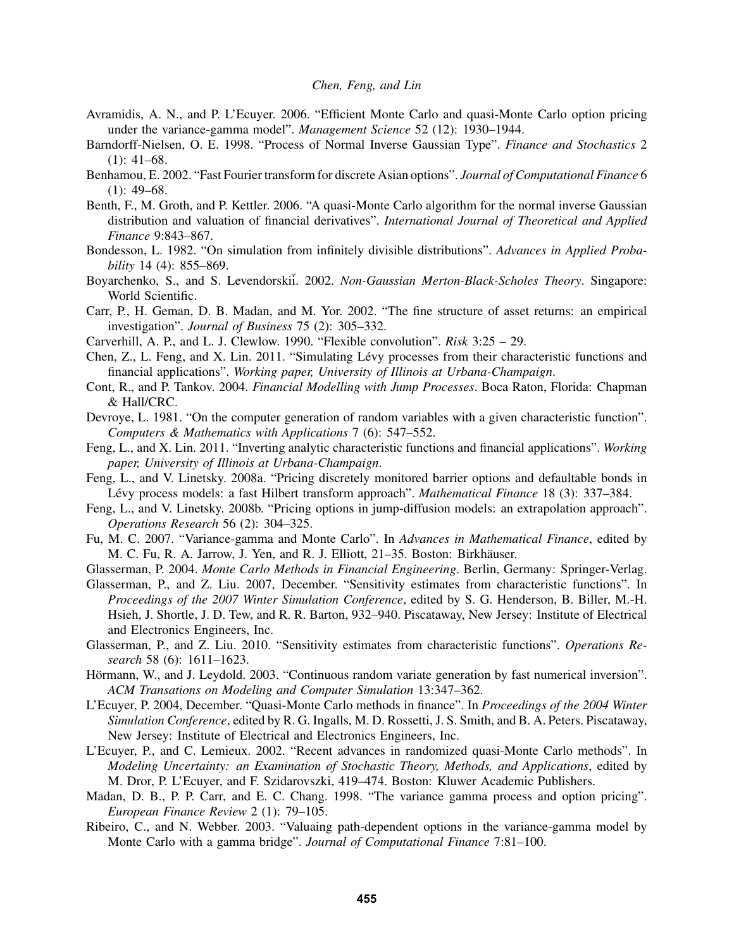- Avramidis, A. N., and P. L'Ecuyer. 2006. "Efficient Monte Carlo and quasi-Monte Carlo option pricing under the variance-gamma model". *Management Science* 52 (12): 1930–1944.
- Barndorff-Nielsen, O. E. 1998. "Process of Normal Inverse Gaussian Type". *Finance and Stochastics* 2  $(1): 41-68.$
- Benhamou, E. 2002. "Fast Fourier transform for discrete Asian options". *Journal of Computational Finance* 6  $(1): 49-68.$
- Benth, F., M. Groth, and P. Kettler. 2006. "A quasi-Monte Carlo algorithm for the normal inverse Gaussian distribution and valuation of financial derivatives". *International Journal of Theoretical and Applied Finance* 9:843–867.
- Bondesson, L. 1982. "On simulation from infinitely divisible distributions". *Advances in Applied Probability* 14 (4): 855–869.
- Boyarchenko, S., and S. Levendorski*i*. 2002. *Non-Gaussian Merton-Black-Scholes Theory*. Singapore: World Scientific.
- Carr, P., H. Geman, D. B. Madan, and M. Yor. 2002. "The fine structure of asset returns: an empirical investigation". *Journal of Business* 75 (2): 305–332.
- Carverhill, A. P., and L. J. Clewlow. 1990. "Flexible convolution". *Risk* 3:25 29.
- Chen, Z., L. Feng, and X. Lin. 2011. "Simulating Lévy processes from their characteristic functions and financial applications". *Working paper, University of Illinois at Urbana-Champaign*.
- Cont, R., and P. Tankov. 2004. *Financial Modelling with Jump Processes*. Boca Raton, Florida: Chapman & Hall/CRC.
- Devroye, L. 1981. "On the computer generation of random variables with a given characteristic function". *Computers & Mathematics with Applications* 7 (6): 547–552.
- Feng, L., and X. Lin. 2011. "Inverting analytic characteristic functions and financial applications". *Working paper, University of Illinois at Urbana-Champaign*.
- Feng, L., and V. Linetsky. 2008a. "Pricing discretely monitored barrier options and defaultable bonds in Lévy process models: a fast Hilbert transform approach". *Mathematical Finance* 18 (3): 337–384.
- Feng, L., and V. Linetsky. 2008b. "Pricing options in jump-diffusion models: an extrapolation approach". *Operations Research* 56 (2): 304–325.
- Fu, M. C. 2007. "Variance-gamma and Monte Carlo". In *Advances in Mathematical Finance*, edited by M. C. Fu, R. A. Jarrow, J. Yen, and R. J. Elliott, 21–35. Boston: Birkhäuser.
- Glasserman, P. 2004. *Monte Carlo Methods in Financial Engineering*. Berlin, Germany: Springer-Verlag.
- Glasserman, P., and Z. Liu. 2007, December. "Sensitivity estimates from characteristic functions". In *Proceedings of the 2007 Winter Simulation Conference*, edited by S. G. Henderson, B. Biller, M.-H. Hsieh, J. Shortle, J. D. Tew, and R. R. Barton, 932–940. Piscataway, New Jersey: Institute of Electrical and Electronics Engineers, Inc.
- Glasserman, P., and Z. Liu. 2010. "Sensitivity estimates from characteristic functions". *Operations Research* 58 (6): 1611–1623.
- Hörmann, W., and J. Leydold. 2003. "Continuous random variate generation by fast numerical inversion". *ACM Transations on Modeling and Computer Simulation* 13:347–362.
- L'Ecuyer, P. 2004, December. "Quasi-Monte Carlo methods in finance". In *Proceedings of the 2004 Winter Simulation Conference*, edited by R. G. Ingalls, M. D. Rossetti, J. S. Smith, and B. A. Peters. Piscataway, New Jersey: Institute of Electrical and Electronics Engineers, Inc.
- L'Ecuyer, P., and C. Lemieux. 2002. "Recent advances in randomized quasi-Monte Carlo methods". In *Modeling Uncertainty: an Examination of Stochastic Theory, Methods, and Applications*, edited by M. Dror, P. L'Ecuyer, and F. Szidarovszki, 419–474. Boston: Kluwer Academic Publishers.
- Madan, D. B., P. P. Carr, and E. C. Chang. 1998. "The variance gamma process and option pricing". *European Finance Review* 2 (1): 79–105.
- Ribeiro, C., and N. Webber. 2003. "Valuaing path-dependent options in the variance-gamma model by Monte Carlo with a gamma bridge". *Journal of Computational Finance* 7:81–100.